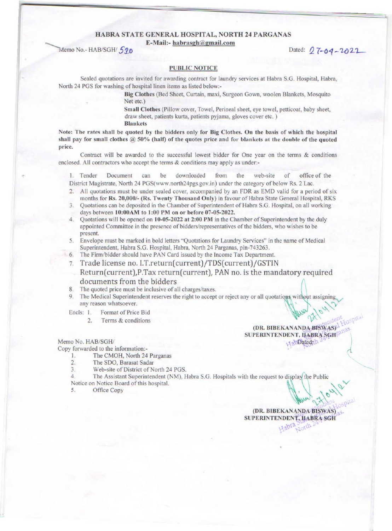#### HABRA STATE GENERAL HOSPITAL, NORTH 24 PARGANAS

**E-Mail:-** habrasgh@gmail.com

Dated: 27-04-2022

### **PUBLIC NOTICE**

Sealed quotations are invited for awarding contract for laundry services at Habra S.G. Hospital. Habra, North 24 PGS for washing of hospital linen items as listed below:-

> Big Clothes (Bed Sheet, Curtain, maxi, Surgeon Gown, woolen Blankets, Mosquito Net etc.)

> Small Clothes (Pillow cover, Towel, Perineal sheet, eye towel, petticoat, baby sheet, draw sheet, patients kurta, patients pyjama, gloves cover etc. ) Blankets

Note: The rates shall be quoted by the bidders only for Big Clothes. On the basis of which the hospital shall pay for small clothes  $@$  50% (half) of the quotes price and for blankets at the double of the quoted price.

Contract will be awarded to the successful lowest bidder for One year on the terms & conditions enclosed. All contractors who accept the terms & conditions may apply as under:-

I. Tender Document can be downloaded from the web-site of office of the District Magistrate, North 24 PGS(www.north24pgs.gov.in) under the category of below Rs. 2 Lac.

- 2. All quotations must be under sealed cover, accompanied by an FOR as EMD valid for a period of six months for Rs. 20,000/- (Rs. Twenty Thousand Only) in favour of Habra State General Hospital, RKS
- 3. Quotations can be deposited in the Chamber of Superintendent of Habra S.G. Hospital, on all working days between  $10:00AM$  to  $1:00PM$  on or before  $07-05-2022$ .
- 4. Ouotations will be opened on 10-05-2022 at 2:00 PM in the Chamber of Superintendent by the duly appointed Committee in the presence of bidders/representatives of the bidders, who wishes to be present.
- 5. Envelope must be marked in boJd letters "Quotations for Laundry Services" in the name of Medical Superintendent, Habra S.G. Hospital, Habra, North 24 Parganas, pin-743263.
- 6. The Firm/bidder should have PAN Card issued by the Income Tax Department.
- 7. Trade license no. I.T.return( current)/TDS( current)/GSTIN
- Return(current),P.Tax return( current), PAN no. is the mandatory required documents from the bidders
- 8. The quoted price must be inclusive of all charges/taxes.
- 9. The Medical Superintendent reserves the right to accept or reject any or all quotations without assigning any reason whatsoever.
- Encls: 1. Format of Price Bid
	- 2. Terms & conditions

#### Memo No. HAB/SGH/

Copy forwarded to the information:-

!. The CMOH, North 24 Parganas

- 2. The SDO, Barasat Sadar<br>3. Web-site of District of N
- Web-site of District of North 24 PGS.

4. The Assistant Superintendent (NM), Habra S.G. Hospitals with the request to display the Public

Notice on Notice Board of this hospital.<br>5. Office Copy

5. Office Copy  $\mathbb{R}^3$  ,  $\mathbb{R}^3$  ,  $\mathbb{R}^3$  ,  $\mathbb{R}^3$  ,  $\mathbb{R}^3$  ,  $\mathbb{R}^3$  ,  $\mathbb{R}^3$  ,  $\mathbb{R}^3$  ,  $\mathbb{R}^3$  ,  $\mathbb{R}^3$  ,  $\mathbb{R}^3$  ,  $\mathbb{R}^3$  ,  $\mathbb{R}^3$  ,  $\mathbb{R}^3$  ,  $\mathbb{R}^3$  ,  $\mathbb{R}^3$ 

W 2 Hone rospit (DR. BIBEKANANDA BISWAS) SUPERINTENDENT, HABRA SGH dabta Sorth L

 $(DR. BIBEKANANDA-BISWAS)$ SUPERINTENDENT, HABRA SGH

abDated:

'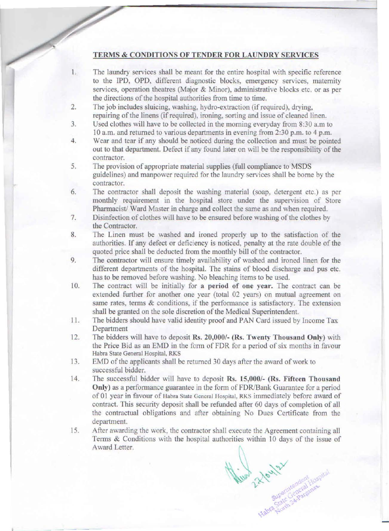## TERMS & CONDITIONS OF TENDER FOR LAUNDRY SERVICES

- 1. The laundry services shall be meant for the entire hospital with specific reference to the IPD, OPD, different diagnostic blocks, emergency services, maternity services, operation theatres (Major & Minor), administrative blocks etc. or as per the directions of the hospital authorities from time to time.
- 2. The job includes sluicing, washing, hydro-extraction (if required), drying, repairing of the linens (if required), ironing, sorting and issue of cleaned linen.
- 3. Used clothes will have to be collected in the morning everyday from 8:30a.m to 10 a.m. and returned to various departments in evening from 2:30 p.m. to 4 p.m.
- 4. Wear and tear if any should be noticed during the collection and must be pointed out to that department. Defect if any found later on will be the responsibility of the contractor.
- 5. The provision of appropriate material supplies (full compliance to MSDS guidelines) and manpower required for the laundry services shall be borne by the contractor.
- 6. The contractor shall deposit the washing material (soap, detergent etc.) as per monthly requirement in the hospital store under the supervision of Store Pharmacist/ Ward Master in charge and collect the same as and when required.
- 7. Disinfection of clothes will have to be ensured before washing of the clothes by the Contractor.
- 8. The Linen must be washed and ironed properly up to the satisfaction of the authorities. If any defect or deficiency is noticed, penalty at the rate double of the quoted price shall be deducted from the monthly bill of the contractor.
- 9. The contractor will ensure timely availability of washed and ironed linen for the different departments of the hospital. The stains of blood discharge and pus etc. has to be removed before washing. No bleaching items to be used.
- 10. The contract will be initially for a period of one year. The contract can be extended further for another one year (total 02 years) on mutual agreement on same rates, terms & conditions, if the performance is satisfactory. The extension shall be granted on the sole discretion of the Medical Superintendent.
- 11. The bidders should have valid identity proof and PAN Card issued by Income Tax Department
- 12. The bidders will have to deposit Rs. 20,000/- (Rs. Twenty Thousand Only) with the Price Bid as an EMD in the fonn of FDR for a period of six months in favour Habra State General Hospital. RKS
- 13. EMD of the applicants shall be returned 30 days after the award of work to successful bidder.
- 14. The successful bidder will have to deposit Rs. 15,000/- (Rs. Fifteen Thousand Only) as a performance guarantee in the form of FDR/Bank Guarantee for a period of 01 year in favour of Habra State General Hospital, RKS immediately before award of contract. This security deposit shall be refunded after 60 days of completion of all the contractual obligations and after obtaining No Dues Certificate from the department.
- 15. After awarding the work, the contractor shall execute the Agreement containing all Terms & Conditions with the hospital authorities within 10 days of the issue of Award Letter.

 $v_{\rm dyn} \gtrsim v_{\rm dyn} \gtrsim v_{\rm dyn}$  $2^{\chi \vee}$  erittenden 1105R  $c_1$ ),  $c_2$ ,  $c_3$ ~ abla<sub>22oidh</sub>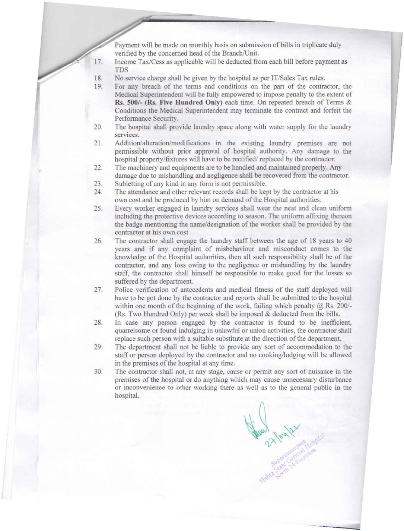Payment will be made on monthly basis on submission of bills in triplicate duly verified by the concerned head of the Branch/Unit.

- Income Tax/Cess as applicable will be deducted from each bill before payment as 17. IDS
- 18. No service charge shall be given by the hospital as per IT/Sales Tax rules.
- 19. For any breach of the terms and conditions on the part of the contractor, the Medical Superintendent will be fully empowered to impose penalty to the extent of **Rs. 500/-** (Rs. **FiYe Hundred Only)** each time. On repeated breach of Terms & Conditions the Medical Superintendent may terminate the contract and forfeit the Performance Security.
- 20. The hospital shall provide laundry space along with water supply for the laundry services.
- 21. Addition/alteration/modifications in the existing laundry premises are not permissible without prior approval of hospital authority. Any damage to the hospital property/fixtures will have to be rectified/ replaced by the contractor.
- 22. The machinery and equipments are to be handled and maintained properly. Any damage due to mishandling and negligence shall be recovered from the contractor.
- 23. Subletting of any kind in any form is not permissible.
- 24. The attendance and other relevant records shall be kept by the contractor at his own cost and be produced by him on demand of the Hospital authorities.
- 25. Every worker engaged in laundry services shall wear the neat and clean uniform including the protective devices according to season. The uniform affixing thereon the badge mentioning the name/designation of the worker shall be provided by the contractor at his own cost.
- 26. The contractor shall engage the laundry staff between the age of 18 years to 40 years and if any complaint of misbehaviour and misconduct comes to the knowledge of the Hospital authorities, then all such responsibility shall be of the contractor, and any loss owing to the negligence or mishandling by the laundry staff, the contractor shall himself be responsible to make good for the losses so suffered by the department.
- 27. Police verification of antecedents and medical fitness of the staff deployed will have to be got done by the contractor and reports shall be submitted to the hospital within one month of the beginning of the work, failing which penalty  $\omega$  Rs. 200/-(Rs. Two Hundred Only) per week shall be imposed  $&$  deducted from the bills.
- 28. In case any person engaged by the contractor is found to be inefficient. quarrelsome or found indulging in unlawful or union activities, the contractor shall replace such person with a suitable substitute at the direction of the department.
- 29. The department shall not be liable to provide any sort of accommodation to the staff or person deployed by the contractor and no cooking/lodging wiU be allowed in the premises of the hospital at any time.
- 30. The contractor shall not, at any stage, cause or permit any sort of nuisance in the premises of the hospital or do anything which may cause unnecessary disturbance or inconvenience to other working there as well as to the general public in the hospital.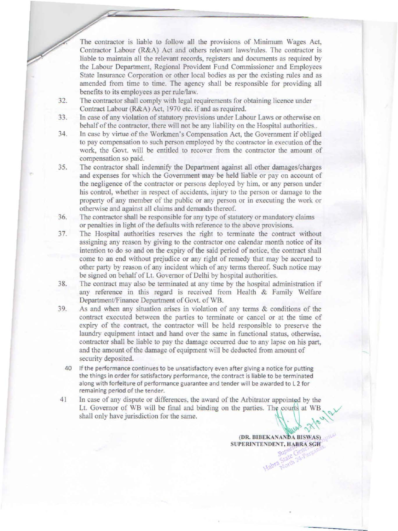The contractor is liable to follow all the provisions of Minimum Wages Act. Contractor Labour (R&A) Act and others relevant laws/rules. The contractor is liable to maintain all the relevant records, registers and documents as required by the Labour Department, Regional Provident Fund Commissioner and Employees State Insurance Corporation or other local bodies as per the existing rules and as amended from time to time. The agency shall be responsible for providing all benefits to its employees as per rule/law.

- 32. The contractor shall comply with legal requirements for obtaining licence under Contract Labour (R&A) Act, 1970 etc. if and as required.
- 33. In case of any violation of statutory provisions under Labour Laws or otherwise on behalf of the contractor, there will not be any liability on the Hospital authorities..
- 34. In case by virtue of the Workmen's Compensation Act, the Government if obliged to pay compensation to such person employed by the contractor in execution of the work, the Govt. will be entitled to recover from the contractor the amount of compensation so paid.
- 35. The contractor shall indemnify the Department against all other damages/charges and expenses for which the Government may be held liable or pay on account of the negligence of the contractor or persons deployed by him. or any person under his control, whether in respect of accidents. injury to the person or damage to the property of any member of the public or any person or in executing the work or otherwise and against all claims and demands thereof.
- 36. The contractor shall be responsible for any type of statutory or mandatory claims or penalties in light of the defaults with reference to the above provisions.
- 37. The Hospital authorities reserves the right to terminate the contract without assigning any reason by giving to the contractor one calendar month notice of its intention to do so and on the expiry of the said period of notice, the contract shall come to an end without prejudice or any right of remedy that may be accrued to other party by reason of any incident which of any tenns thereof. Such notice may be signed on behalf of Lt. Governor of Delhi by hospital authorities.
- 38. The contract may also be terminated at any time by the hospital administration if any reference in this regard is received from Health & Family \Velfare Department/Finance Department of Govt. of WB.
- 39. As and when any situation arises in violation of any terms & conditions of the contract executed between the parties to terminate or cancel or at the time of expiry of the contract, the contractor will be held responsible to preserve the laundry equipment intact and hand over the same in functional status, otherwise, contractor shall be liable to pay the damage occurred due to any lapse on his part, and the amount of the damage of equipment will be deducted from amount of security deposited.
	- 40 If the performance continues to be unsatisfactory even after giving a notice for putting the things in order for satisfactory performance, the contract is liable to be terminated along with forfeiture of performance guarantee and tender will be awarded to L 2 for remaining period of the tender.
- 41 In case of any dispute or differences. the award of the Arbitrator appointed by the Lt. Governor of WB will be fmal and binding on the parties. The courts at WB shall only have jurisdiction for the same.

(DR. BIBEKANANDA BISWAS) SUPERINTENDENT, HABRA SGH<br>Super Gene Sch

 $\sim 2$ 

 $\sim$